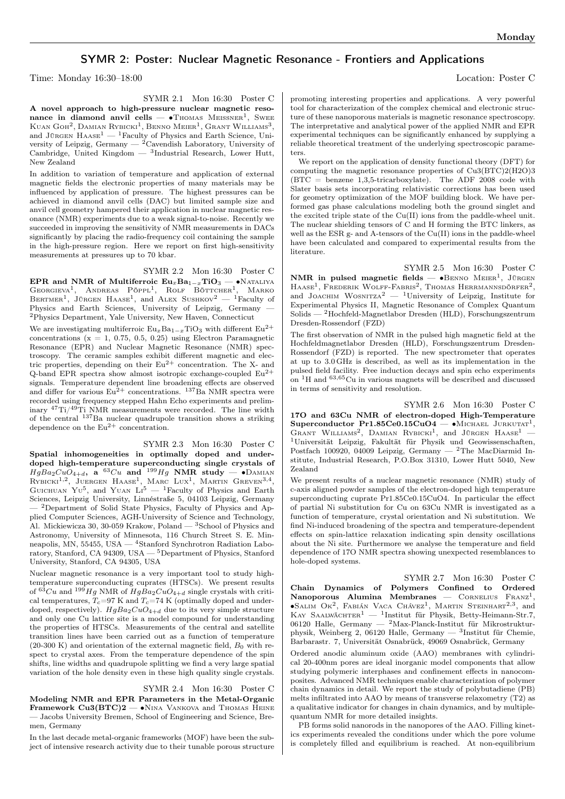## SYMR 2: Poster: Nuclear Magnetic Resonance - Frontiers and Applications

Time: Monday 16:30–18:00 Location: Poster C

SYMR 2.1 Mon 16:30 Poster C A novel approach to high-pressure nuclear magnetic resonance in diamond anvil cells —  $\bullet$ Thomas Meissner<sup>1</sup>, Swee Kuan Goh<sup>2</sup>, Damian Rybicki<sup>1</sup>, Benno Meier<sup>1</sup>, Grant Williams<sup>3</sup>, and JÜRGEN  $\text{HASE}^1$  — <sup>1</sup>Faculty of Physics and Earth Science, University of Leipzig, Germany —  $^{2}$ Cavendish Laboratory, University of Cambridge, United Kingdom — <sup>3</sup> Industrial Research, Lower Hutt, New Zealand

In addition to variation of temperature and application of external magnetic fields the electronic properties of many materials may be influenced by application of pressure. The highest pressures can be achieved in diamond anvil cells (DAC) but limited sample size and anvil cell geometry hampered their application in nuclear magnetic resonance (NMR) experiments due to a weak signal-to-noise. Recently we succeeded in improving the sensitivity of NMR measurements in DACs significantly by placing the radio-frequency coil containing the sample in the high-pressure region. Here we report on first high-sensitivity measurements at pressures up to 70 kbar.

SYMR 2.2 Mon 16:30 Poster C

EPR and NMR of Multiferroic  $\text{Eu}_x\text{Ba}_{1-x}\text{TiO}_3 - \bullet$ Nataliya Georgieva<sup>1</sup>, Andreas Pöppl<sup>1</sup>, Rolf Böttcher<sup>1</sup>, Marko BERTMER<sup>1</sup>, JÜRGEN HAASE<sup>1</sup>, and ALEX SUSHKOV<sup>2</sup> — <sup>1</sup>Faculty of Physics and Earth Sciences, University of Leipzig, Germany <sup>2</sup>Physics Department, Yale University, New Haven, Connecticut

We are investigating multiferroic  $Eu_xBa_{1-x}TiO_3$  with different  $Eu^{2+}$ concentrations  $(x = 1, 0.75, 0.5, 0.25)$  using Electron Paramagnetic Resonance (EPR) and Nuclear Magnetic Resonance (NMR) spectroscopy. The ceramic samples exhibit different magnetic and electric properties, depending on their  $Eu^{2+}$  concentration. The X- and Q-band EPR spectra show almost isotropic exchange-coupled  $Eu^{2+}$ signals. Temperature dependent line broadening effects are observed and differ for various  $Eu^{2+}$  concentrations. <sup>137</sup>Ba NMR spectra were recorded using frequency stepped Hahn Echo experiments and preliminary <sup>47</sup>Ti/49Ti NMR measurements were recorded. The line width of the central <sup>137</sup>Ba nuclear quadrupole transition shows a striking dependence on the  $Eu^{2+}$  concentration.

SYMR 2.3 Mon 16:30 Poster C Spatial inhomogeneities in optimally doped and underdoped high-temperature superconducting single crystals of  $HgBa_2CuO_{4+d}$ , a <sup>63</sup>Cu and <sup>199</sup>Hg NMR study — •DAMIAN RYBICKI<sup>1,2</sup>, JUERGEN HAASE<sup>1</sup>, MARC LUX<sup>1</sup>, MARTIN GREVEN<sup>3,4</sup>, GUICHUAN YU<sup>5</sup>, and YUAN  $Li<sup>5</sup>$  – <sup>1</sup>Faculty of Physics and Earth Sciences, Leipzig University, Linnéstraße 5, 04103 Leipzig, Germany — <sup>2</sup>Department of Solid State Physics, Faculty of Physics and Applied Computer Sciences, AGH-University of Science and Technology, Al. Mickiewicza 30, 30-059 Krakow, Poland — <sup>3</sup>School of Physics and Astronomy, University of Minnesota, 116 Church Street S. E. Minneapolis, MN,  $55455$ , USA  $-$  <sup>4</sup>Stanford Synchrotron Radiation Laboratory, Stanford, CA 94309, USA — <sup>5</sup>Department of Physics, Stanford University, Stanford, CA 94305, USA

Nuclear magnetic resonance is a very important tool to study hightemperature superconducting cuprates (HTSCs). We present results of  $^{63}Cu$  and  $^{199}Hg$  NMR of  $HgBa_2CuO_{4+d}$  single crystals with critical temperatures,  $T_c=97$  K and  $T_c=74$  K (optimally doped and underdoped, respectively).  $HqBa_2CuO_{4+d}$  due to its very simple structure and only one Cu lattice site is a model compound for understanding the properties of HTSCs. Measurements of the central and satellite transition lines have been carried out as a function of temperature  $(20-300 \text{ K})$  and orientation of the external magnetic field,  $B_0$  with respect to crystal axes. From the temperature dependence of the spin shifts, line widths and quadrupole splitting we find a very large spatial variation of the hole density even in these high quality single crystals.

SYMR 2.4 Mon 16:30 Poster C

Modeling NMR and EPR Parameters in the Metal-Organic Framework Cu3(BTC)2 — ∙Nina Vankova and Thomas Heine — Jacobs University Bremen, School of Engineering and Science, Bremen, Germany

In the last decade metal-organic frameworks (MOF) have been the subject of intensive research activity due to their tunable porous structure promoting interesting properties and applications. A very powerful tool for characterization of the complex chemical and electronic structure of these nanoporous materials is magnetic resonance spectroscopy. The interpretative and analytical power of the applied NMR and EPR experimental techniques can be significantly enhanced by supplying a reliable theoretical treatment of the underlying spectroscopic parameters.

We report on the application of density functional theory (DFT) for computing the magnetic resonance properties of  $Cu3(BTC)2(H2O)3$ (BTC = benzene 1,3,5-tricarboxylate). The ADF 2008 code with Slater basis sets incorporating relativistic corrections has been used for geometry optimization of the MOF building block. We have performed gas phase calculations modeling both the ground singlet and the excited triple state of the Cu(II) ions from the paddle-wheel unit. The nuclear shielding tensors of C and H forming the BTC linkers, as well as the ESR g- and A-tensors of the Cu(II) ions in the paddle-wheel have been calculated and compared to experimental results from the literature.

SYMR 2.5 Mon 16:30 Poster C NMR in pulsed magnetic fields —  $\bullet$ BENNO MEIER<sup>1</sup>, JÜRGEN HAASE<sup>1</sup>, FREDERIK WOLFF-FABRIS<sup>2</sup>, THOMAS HERRMANNSDÖRFER<sup>2</sup>, and JOACHIM WOSNITZA<sup>2</sup> — <sup>1</sup>University of Leipzig, Institute for Experimental Physics II, Magnetic Resonance of Complex Quantum Solids — <sup>2</sup>Hochfeld-Magnetlabor Dresden (HLD), Forschungszentrum Dresden-Rossendorf (FZD)

The first observation of NMR in the pulsed high magnetic field at the Hochfeldmagnetlabor Dresden (HLD), Forschungszentrum Dresden-Rossendorf (FZD) is reported. The new spectrometer that operates at up to 3.0 GHz is described, as well as its implementation in the pulsed field facility. Free induction decays and spin echo experiments on  ${}^{1}$ H and  ${}^{63,65}$ Cu in various magnets will be described and discussed in terms of sensitivity and resolution.

SYMR 2.6 Mon 16:30 Poster C 17O and 63Cu NMR of electron-doped High-Temperature Superconductor Pr1.85Ce0.15CuO4 — • MICHAEL JURKUTAT<sup>1</sup>, GRANT WILLIAMS<sup>2</sup>, DAMIAN RYBICKI<sup>1</sup>, and JÜRGEN HAASE<sup>1</sup> -<sup>1</sup>Universität Leipzig, Fakultät für Physik und Geowissenschaften, Postfach 100920, 04009 Leipzig, Germany — <sup>2</sup>The MacDiarmid Institute, Industrial Research, P.O.Box 31310, Lower Hutt 5040, New Zealand

We present results of a nuclear magnetic resonance (NMR) study of c-axis aligned powder samples of the electron-doped high temperature superconducting cuprate Pr1.85Ce0.15CuO4. In particular the effect of partial Ni substitution for Cu on 63Cu NMR is investigated as a function of temperature, crystal orientation and Ni substitution. We find Ni-induced broadening of the spectra and temperature-dependent effects on spin-lattice relaxation indicating spin density oscillations about the Ni site. Furthermore we analyse the temperature and field dependence of 17O NMR spectra showing unexpected resemblances to hole-doped systems.

SYMR 2.7 Mon 16:30 Poster C Chain Dynamics of Polymers Confined to Ordered Nanoporous Alumina Membranes — CORNELIUS FRANZ<sup>1</sup> ∙Salim Ok<sup>2</sup> , Fabián Vaca Chávez<sup>1</sup> , Martin Steinhart2,<sup>3</sup> , and KAY SAALWÄCHTER<sup>1</sup> — <sup>1</sup>Institut für Physik, Betty-Heimann-Str.7, 06120 Halle, Germany — <sup>2</sup>Max-Planck-Institut für Mikrostrukturphysik, Weinberg 2, 06120 Halle, Germany  $-$  <sup>3</sup>Institut für Chemie, Barbarastr. 7, Universität Osnabrück, 49069 Osnabrück, Germany

Ordered anodic aluminum oxide (AAO) membranes with cylindrical 20-400nm pores are ideal inorganic model components that allow studying polymeric interphases and confinement effects in nanocomposites. Advanced NMR techniques enable characterization of polymer chain dynamics in detail. We report the study of polybutadiene (PB) melts infiltrated into AAO by means of transverse relaxometry (T2) as a qualitative indicator for changes in chain dynamics, and by multiplequantum NMR for more detailed insights.

PB forms solid nanorods in the nanopores of the AAO. Filling kinetics experiments revealed the conditions under which the pore volume is completely filled and equilibrium is reached. At non-equilibrium